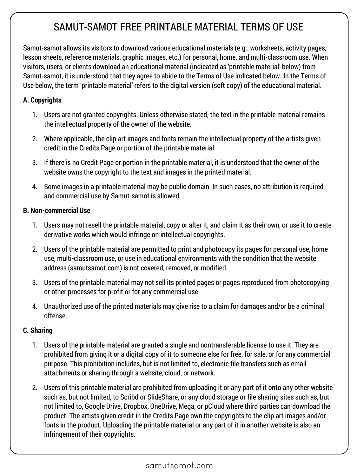# SAMUT-SAMOT FREE PRINTABLE MATERIAL TERMS OF USE

Samut-samot allows its visitors to download various educational materials (e.g., worksheets, activity pages, lesson sheets, reference materials, graphic images, etc.) for personal, home, and multi-classroom use. When visitors, users, or clients download an educational material (indicated as 'printable material' below) from Samut-samot, it is understood that they agree to abide to the Terms of Use indicated below. In the Terms of Use below, the term 'printable material' refers to the digital version (soft copy) of the educational material.

### **A. Copyrights**

- 1. Users are not granted copyrights. Unless otherwise stated, the text in the printable material remains the intellectual property of the owner of the website.
- 2. Where applicable, the clip art images and fonts remain the intellectual property of the artists given credit in the Credits Page or portion of the printable material.
- 3. If there is no Credit Page or portion in the printable material, it is understood that the owner of the website owns the copyright to the text and images in the printed material.
- 4. Some images in a printable material may be public domain. In such cases, no attribution is required and commercial use by Samut-samot is allowed.

#### **B. Non-commercial Use**

- 1. Users may not resell the printable material, copy or alter it, and claim it as their own, or use it to create derivative works which would infringe on intellectual copyrights.
- 2. Users of the printable material are permitted to print and photocopy its pages for personal use, home use, multi-classroom use, or use in educational environments with the condition that the website address (samutsamot.com) is not covered, removed, or modified.
- 3. Users of the printable material may not sell its printed pages or pages reproduced from photocopying or other processes for profit or for any commercial use.
- 4. Unauthorized use of the printed materials may give rise to a claim for damages and/or be a criminal offense.

## **C. Sharing**

- 1. Users of the printable material are granted a single and nontransferable license to use it. They are prohibited from giving it or a digital copy of it to someone else for free, for sale, or for any commercial purpose. This prohibition includes, but is not limited to, electronic file transfers such as email attachments or sharing through a website, cloud, or network.
- 2. Users of this printable material are prohibited from uploading it or any part of it onto any other website such as, but not limited, to Scribd or SlideShare, or any cloud storage or file sharing sites such as, but not limited to, Google Drive, Dropbox, OneDrive, Mega, or pCloud where third parties can download the product. The artists given credit in the Credits Page own the copyrights to the clip art images and/or fonts in the product. Uploading the printable material or any part of it in another website is also an infringement of their copyrights.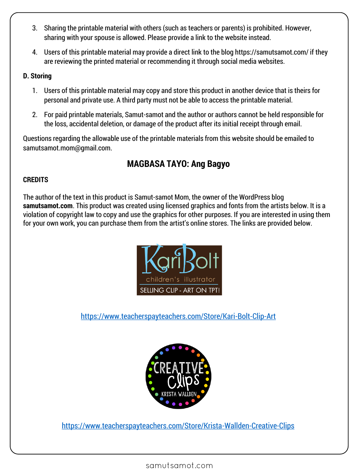- 3. Sharing the printable material with others (such as teachers or parents) is prohibited. However, sharing with your spouse is allowed. Please provide a link to the website instead.
- 4. Users of this printable material may provide a direct link to the blog https://samutsamot.com/ if they are reviewing the printed material or recommending it through social media websites.

#### **D. Storing**

- 1. Users of this printable material may copy and store this product in another device that is theirs for personal and private use. A third party must not be able to access the printable material.
- 2. For paid printable materials, Samut-samot and the author or authors cannot be held responsible for the loss, accidental deletion, or damage of the product after its initial receipt through email.

Questions regarding the allowable use of the printable materials from this website should be emailed to samutsamot.mom@gmail.com.

# **MAGBASA TAYO: Ang Bagyo**

## **CREDITS**

The author of the text in this product is Samut-samot Mom, the owner of the WordPress blog **samutsamot.com**. This product was created using licensed graphics and fonts from the artists below. It is a violation of copyright law to copy and use the graphics for other purposes. If you are interested in using them for your own work, you can purchase them from the artist's online stores. The links are provided below.



<https://www.teacherspayteachers.com/Store/Kari-Bolt-Clip-Art>



<https://www.teacherspayteachers.com/Store/Krista-Wallden-Creative-Clips>

samutsamot.com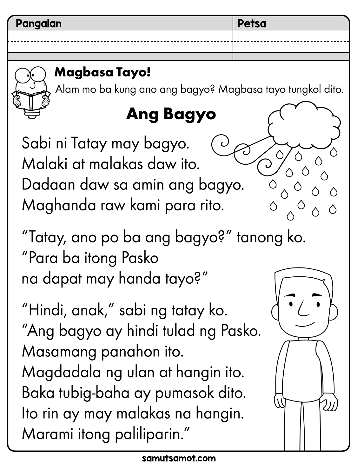# Magbasa Tayo!

Alam mo ba kung ano ang bagyo? Magbasa tayo tungkol dito.

# **Ang Bagyo**

Sabi ni Tatay may bagyo. Malaki at malakas daw ito. Dadaan daw sa amin ang bagyo. Maghanda raw kami para rito.

"Tatay, ano po ba ang bagyo?" tanong ko. "Para ba itong Pasko na dapat may handa tayo?"

"Hindi, anak," sabi ng tatay ko. "Ang bagyo ay hindi tulad ng Pasko. Masamang panahon ito. Magdadala ng ulan at hangin ito. Baka tubig-baha ay pumasok dito. Ito rin ay may malakas na hangin. Marami itong paliliparin."

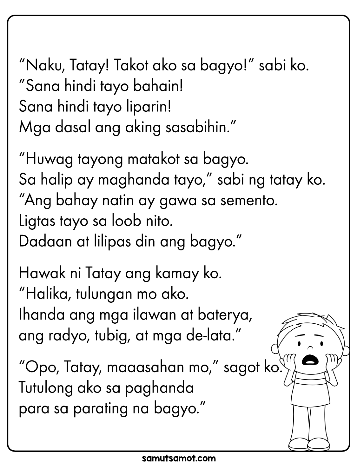"Naku, Tatay! Takot ako sa bagyo!" sabi ko. "Sana hindi tayo bahain! Sana hindi tayo liparin! Mga dasal ang aking sasabihin."

"Huwag tayong matakot sa bagyo. Sa halip ay maghanda tayo," sabi ng tatay ko. "Ang bahay natin ay gawa sa semento. Ligtas tayo sa loob nito. Dadaan at lilipas din ang bagyo."

Hawak ni Tatay ang kamay ko. "Halika, tulungan mo ako. Ihanda ang mga ilawan at baterya, ang radyo, tubig, at mga de-lata."

"Opo, Tatay, maaasahan mo," sagot ko. Tutulong ako sa paghanda para sa parating na bagyo."